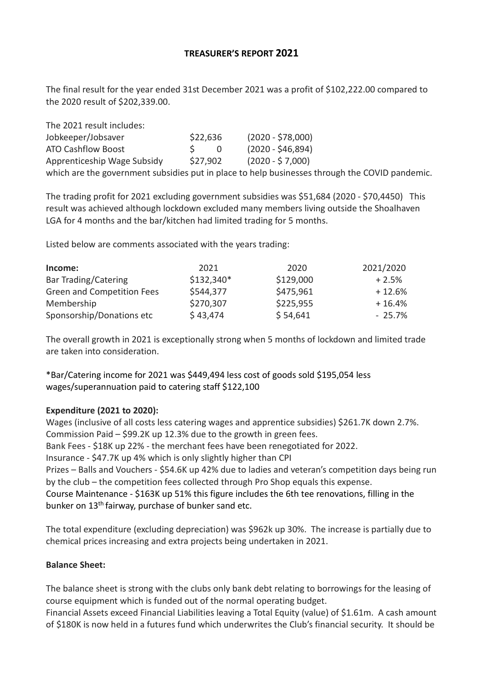# **TREASURER'S REPORT 2021**

The final result for the year ended 31st December 2021 was a profit of \$102,222.00 compared to the 2020 result of \$202,339.00.

| The 2021 result includes:   |          |     |                                                                                                |
|-----------------------------|----------|-----|------------------------------------------------------------------------------------------------|
| Jobkeeper/Jobsaver          | \$22,636 |     | $(2020 - $78,000)$                                                                             |
| <b>ATO Cashflow Boost</b>   |          | - 0 | $(2020 - $46,894)$                                                                             |
| Apprenticeship Wage Subsidy | \$27.902 |     | $(2020 - $7,000)$                                                                              |
|                             |          |     | which are the government subsidies put in place to help businesses through the COVID pandemic. |

The trading profit for 2021 excluding government subsidies was \$51,684 (2020 - \$70,4450) This result was achieved although lockdown excluded many members living outside the Shoalhaven LGA for 4 months and the bar/kitchen had limited trading for 5 months.

Listed below are comments associated with the years trading:

| Income:                    | 2021        | 2020      | 2021/2020 |
|----------------------------|-------------|-----------|-----------|
| Bar Trading/Catering       | $$132,340*$ | \$129,000 | $+2.5%$   |
| Green and Competition Fees | \$544,377   | \$475,961 | $+12.6%$  |
| Membership                 | \$270,307   | \$225,955 | $+16.4%$  |
| Sponsorship/Donations etc  | \$43,474    | \$54,641  | $-25.7\%$ |

The overall growth in 2021 is exceptionally strong when 5 months of lockdown and limited trade are taken into consideration.

\*Bar/Catering income for 2021 was \$449,494 less cost of goods sold \$195,054 less wages/superannuation paid to catering staff \$122,100

## **Expenditure (2021 to 2020):**

Wages (inclusive of all costs less catering wages and apprentice subsidies) \$261.7K down 2.7%. Commission Paid – \$99.2K up 12.3% due to the growth in green fees. Bank Fees - \$18K up 22% - the merchant fees have been renegotiated for 2022. Insurance - \$47.7K up 4% which is only slightly higher than CPI Prizes – Balls and Vouchers - \$54.6K up 42% due to ladies and veteran's competition days being run by the club – the competition fees collected through Pro Shop equals this expense. Course Maintenance - \$163K up 51% this figure includes the 6th tee renovations, filling in the bunker on 13th fairway, purchase of bunker sand etc.

The total expenditure (excluding depreciation) was \$962k up 30%. The increase is partially due to chemical prices increasing and extra projects being undertaken in 2021.

## **Balance Sheet:**

The balance sheet is strong with the clubs only bank debt relating to borrowings for the leasing of course equipment which is funded out of the normal operating budget.

Financial Assets exceed Financial Liabilities leaving a Total Equity (value) of \$1.61m. A cash amount of \$180K is now held in a futures fund which underwrites the Club's financial security. It should be